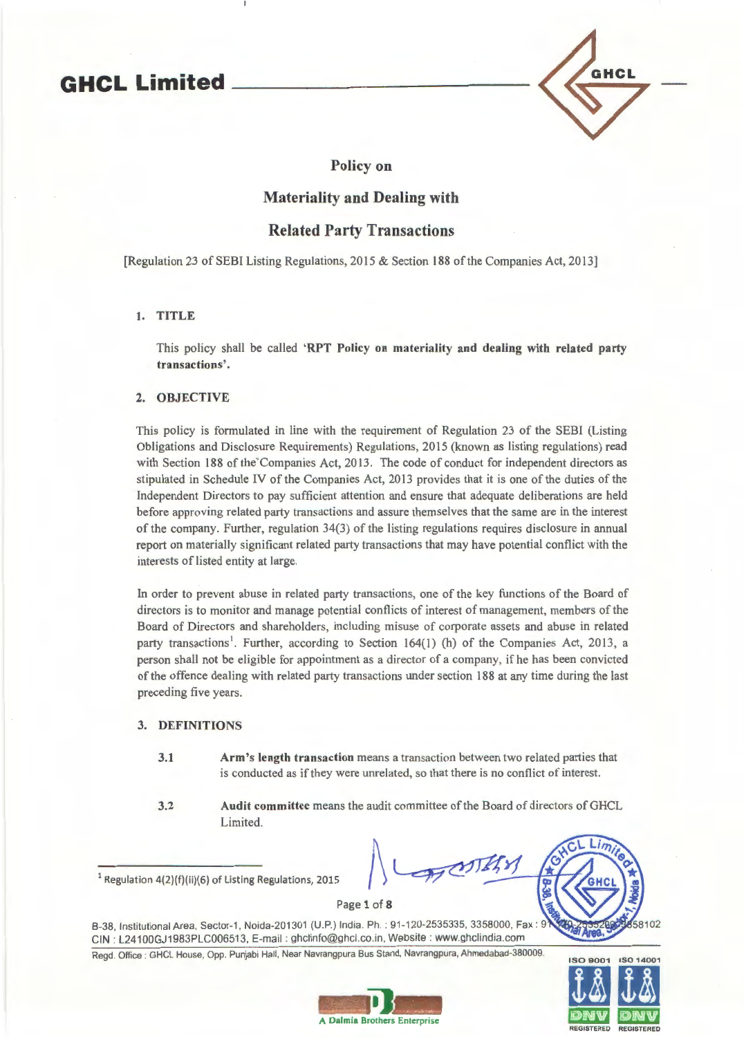# **GHCL Limited**



# Policy on

# Materiality and Dealing with

# Related Party Transactions

[Regulation 23 of SEBI Listing Regulations, 2015 & Section 188 of the Companies Act, 2013]

# 1. TITLE

This policy shall be called 'RPT Policy on materiality and dealing with related party transactions'.

### 2. OBJECTIVE

This policy is formulated in line with the requirement of Regulation 23 of the SEBI (Listing Obligations and Disclosure Requirements) Regulations, 2015 (known as listing regulations) read with Section 188 of the Companies Act, 2013. The code of conduct for independent directors as stipulated in Schedule IV of the Companies Act, 2013 provides that it is one of the duties of the Independent Directors to pay sufficient attention and ensure that adequate deliberations are held before approving related party transactions and assure themselves that the same are in the interest of the company. Further, regulation 34(3) of the listing regulations requires disclosure in annual report on materially significant related party transactions that may have potential conflict with the interests of listed entity at large.

In order to prevent abuse in related party transactions, one of the key functions of the Board of directors is to monitor and manage potential conflicts of interest of management, members of the Board of Directors and shareholders, including misuse of corporate assets and abuse in related party transactions<sup>1</sup>. Further, according to Section 164(1) (h) of the Companies Act, 2013, a person shall not be eligible for appointment as a director of a company, if he has been convicted of the offence dealing with related party transactions under section 188 at any time during the last preceding five years.

### 3. DEFINITIONS

- 3.1 Arm's length transaction means a transaction between two related parties that is conducted as if they were unrelated, so that there is no conflict of interest.
- 3.2 Audit committee means the audit committee of the Board of directors ofGHCL Limited.

 $1$  Regulation 4(2)(f)(ii)(6) of Listing Regulations, 2015

Page 1 of 8

B-38, Institutional Area, Sector-1, Noida-201301 (U.P.) India. Ph. : 91-120-2535335, 3358000, Fax : CIN : L24100GJ1983PLC006513, E-mail : ghclinfo@ghcl.co.in, Website : www.ghclindia.com

Regd. Office : GHCL House, Opp. Punjabi Hall, Near Navrangpura Bus Stand, Navrangpura, Ahmedabad-380009.



58102

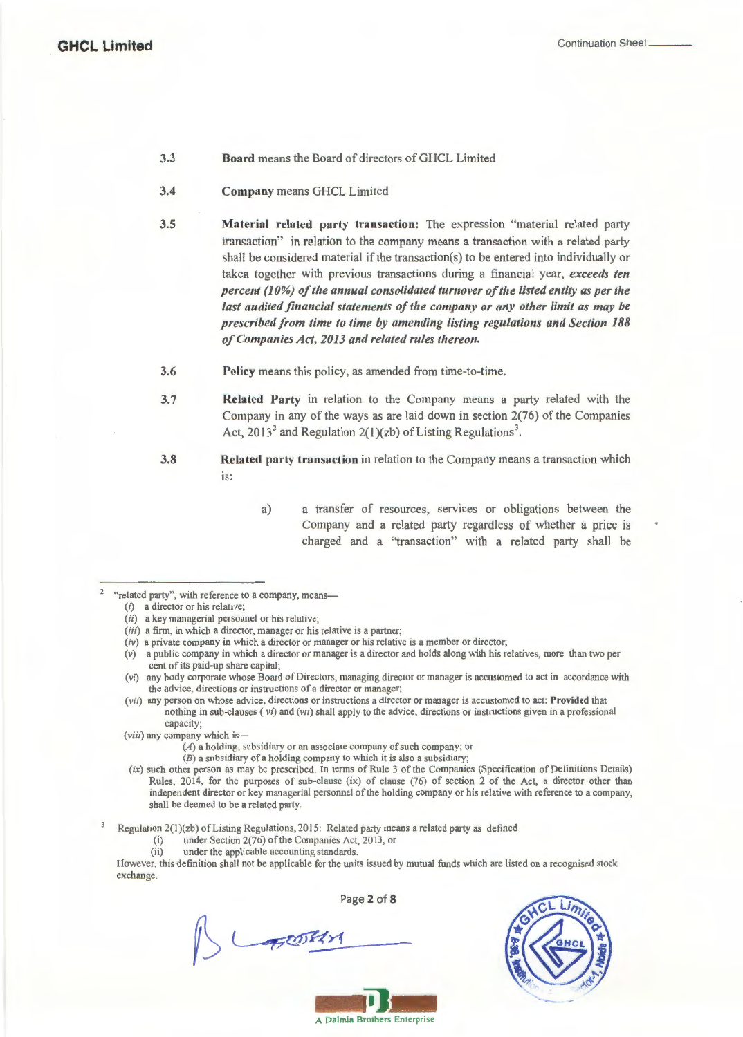#### 3.3 Board means the Board of directors of GHCL Limited

- 3.4 Company means GHCL Limited
- 3.5 Material related party transaction: The expression "material related party transaction" in relation to the company means a transaction with a related party shall be considered material if the transaction(s) to be entered into individually or taken together with previous transactions during a financial year, *exceeds ten percent (10%) of the annual consolidated turnover of the listed entity as per the last audited financial statements of the company or any other limit as may be prescribed from time to time by amending listing regulations and Section 188 of Companies Act, 2013 and related rules thereon.*
- 3.6 Policy means this policy, as amended from time-to-time.
- 3.7 Related Party in relation to the Company means a party related with the Company in any of the ways as are laid down in section 2(76) of the Companies Act, 2013<sup>2</sup> and Regulation 2(1)(zb) of Listing Regulations<sup>3</sup>.
- 3.8 Related party transaction in relation to the Company means a transaction which IS:
	- a) a transfer of resources, services or obligations between the Company and a related party regardless of whether a price is charged and a ''transaction" with a related party shall be
- <sup>2</sup> "related party", with reference to a company, means-

- (ii) a key managerial personnel or his relative;
- (iii) a firm, in which a director, manager or his relative is a partner;
- *(iv)* a private company in which a director or manager or his relative is a member or director;
- (v) a public company in which a director or manager is a director and holds along with his relatives, more than two per cent of its paid-up share capital;
- (vi) any body corporate whose Board of Directors, managing director or manager is accustomed to act in accordance with the advice, directions or instructions of a director or manager;
- (vii) any person on whose advice, directions or instructions a director or manager is accustomed to act: Provided that nothing in sub-clauses *(vi)* and (vii) shall apply to the advice, directions or instructions given in a professional capacity;
- (viii) any company which is-
	- (A) a holding, subsidiary or an associate company of such company; or
	- (B) a subsidiary of a holding company to which it is also a subsidiary;
- $(ix)$  such other person as may be prescribed. In terms of Rule 3 of the Companies (Specification of Definitions Details) Rules, 2014, for the purposes of sub-clause (ix) of clause (76) of section 2 of the Act, a director other than independent director or key managerial personnel of the holding company or his relative with reference to a company, shall be deemed to be a related party.

Regulation 2(l)(zb) of Listing Regulations, 2015: Related party means a related party as defined

(i) under Section 2(76) of the Companies Act, 2013, or

BOOK

(ii) under the applicable accounting standards.

However, this definition shall not be applicable for the units issued by mutual funds which are listed on a recognised stock exchange.

Page 2 of 8



A Dalmia Brothers Enterprise

<sup>(</sup>i) a director or his relative;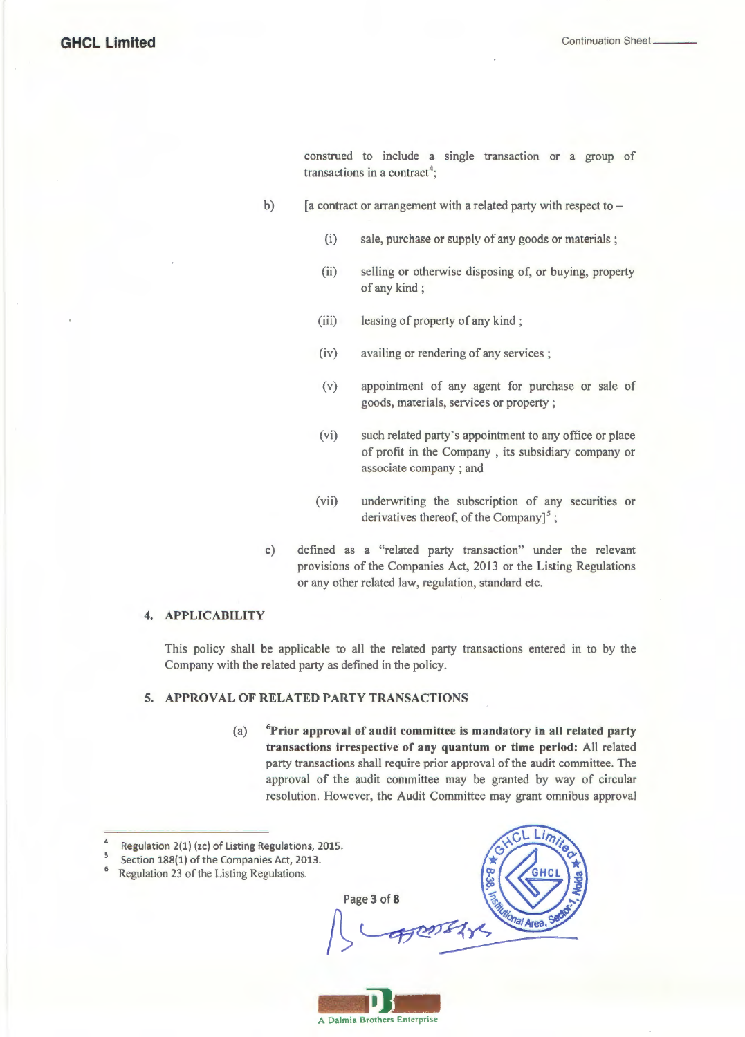construed to include a single transaction or a group of transactions in a contract<sup>4</sup>;

- b)  $[$ a contract or arrangement with a related party with respect to  $-$ 
	- (i) sale, purchase or supply of any goods or materials ;
	- (ii) selling or otherwise disposing of, or buying, property of any kind ;
	- (iii) leasing of property of any kind;
	- (iv) availing or rendering of any services ;
	- (v) appointment of any agent for purchase or sale of goods, materials, services or property ;
	- (vi) such related party's appointment to any office or place of profit in the Company , its subsidiary company or associate company ; and
	- (vii) underwriting the subscription of any securities or derivatives thereof, of the Company] $5$ ;
- c) defined as a "related party transaction" under the relevant provisions of the Companies Act, 2013 or the Listing Regulations or any other related law, regulation, standard etc.

### **4. APPLICABILITY**

This policy shall be applicable to all the related party transactions entered in to by the Company with the related party as defined in the policy.

### **5. APPROVAL OF RELATED PARTY TRANSACTIONS**

(a) **<sup>6</sup> Prior approval of audit committee is mandatory in all related party transactions irrespective of any quantum or time period:** All related party transactions shall require prior approval of the audit committee. The approval of the audit committee may be granted by way of circular resolution. However, the Audit Committee may grant omnibus approval

Page 3 of 8





 $\Delta$ Regulation 2(1) (zc) of Listing Regulations, 2015.

<sup>5</sup> Section 188(1) of the Companies Act, 2013.

<sup>6</sup> Regulation 23 of the Listing Regulations.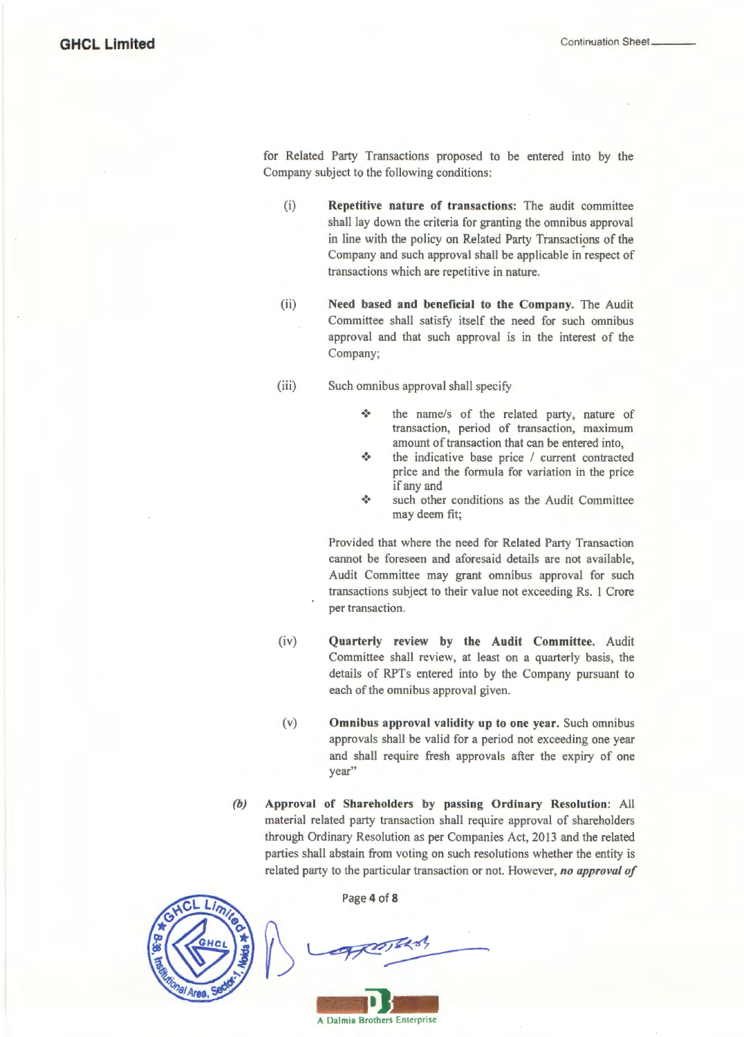for Related Party Transactions proposed to be entered into by the Company subject to the following conditions:

- (i) Repetitive nature of transactions: The audit committee shall lay down the criteria for granting the omnibus approval in line with the policy on Related Party Transactions of the Company and such approval shall be applicable in respect of transactions which are repetitive in nature.
- (ii) Need based and beneficial to the Company. The Audit Committee shall satisfy itself the need for such omnibus approval and that such approval is in the interest of the Company;
- (iii) Such omnibus approval shall specify
	- •:• the name/s of the related party, nature of transaction, period of transaction, maximum amount of transaction that can be entered into,
	- \* the indicative base price / current contracted price and the formula for variation in the price if any and
	- \* such other conditions as the Audit Committee may deem fit;

Provided that where the need for Related Party Transaction cannot be foreseen and aforesaid details are not available, Audit Committee may grant omnibus approval for such transactions subject to their value not exceeding Rs. 1 Crore per transaction.

- (iv) Quarterly review by the Audit Committee. Audit Committee shall review, at least on a quarterly basis, the details of RPTs entered into by the Company pursuant to each of the omnibus approval given.
- (v) Omnibus approval validity up to one year. Such omnibus approvals shall be valid for a period not exceeding one year and shall require fresh approvals after the expiry of one year"
- *(b)* Approval of Shareholders by passing Ordinary Resolution: All material related party transaction shall require approval of shareholders through Ordinary Resolution as per Companies Act, 2013 and the related parties shall abstain from voting on such resolutions whether the entity is related party to the particular transaction or not. However, *no approval of*



Page 4 of 8

 $\rightarrow$ **-** A Dalmia Brothers **11.-**Enterprise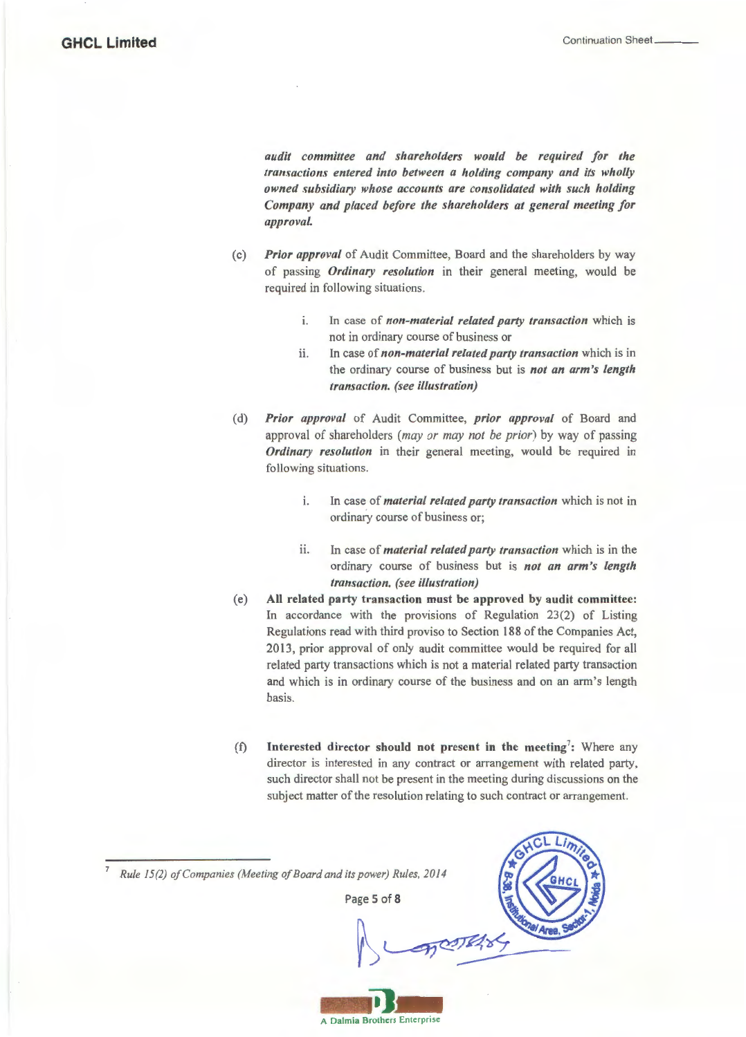*audit committee and shareholders would be required for the transactions entered into between a holding company and its wholly owned subsidiary whose accounts are consolidated with such holding Company and placed before the shareholders at general meeting for approval.* 

- (c) *Prior approval* of Audit Committee, Board and the shareholders by way of passing *Ordinary resolution* in their general meeting, would be required in following situations.
	- 1. ln case of *non-material related party transaction* which is not in ordinary course of business or
	- ii. ln case of *non-material related party transaction* which is in the ordinary course of business but is *not an arm's length transaction. (see illustration)*
- (d) *Prior approval* of Audit Committee, *prior approval* of Board and approval of shareholders *(may or may not be prior)* by way of passing *Ordinary resolution* in their general meeting, would be required in following situations.
	- 1. ln case of *material related party transaction* which is not in ordinary course of business or;
	- 11. In case of *material related party transaction* which is in the ordinary course of business but is *not an arm's length transaction. (see illustration)*
- (e) All related party transaction must be approved by audit committee: In accordance with the provisions of Regulation 23(2) of Listing Regulations read with third proviso to Section 188 of the Companies Act, 2013, prior approval of only audit committee would be required for all related party transactions which is not a material related party transaction and which is in ordinary course of the business and on an arm's length basis.
- (f) Interested director should not present in the meeting<sup>7</sup>: Where any director is interested in any contract or arrangement with related party, such director shall not be present in the meeting during discussions on the subject matter of the resolution relating to such contract or arrangement.

<sup>7</sup>*Rule 15(2) of Companies (Meeting of Board and its power) Rules, 2014* 

Page 5 of 8



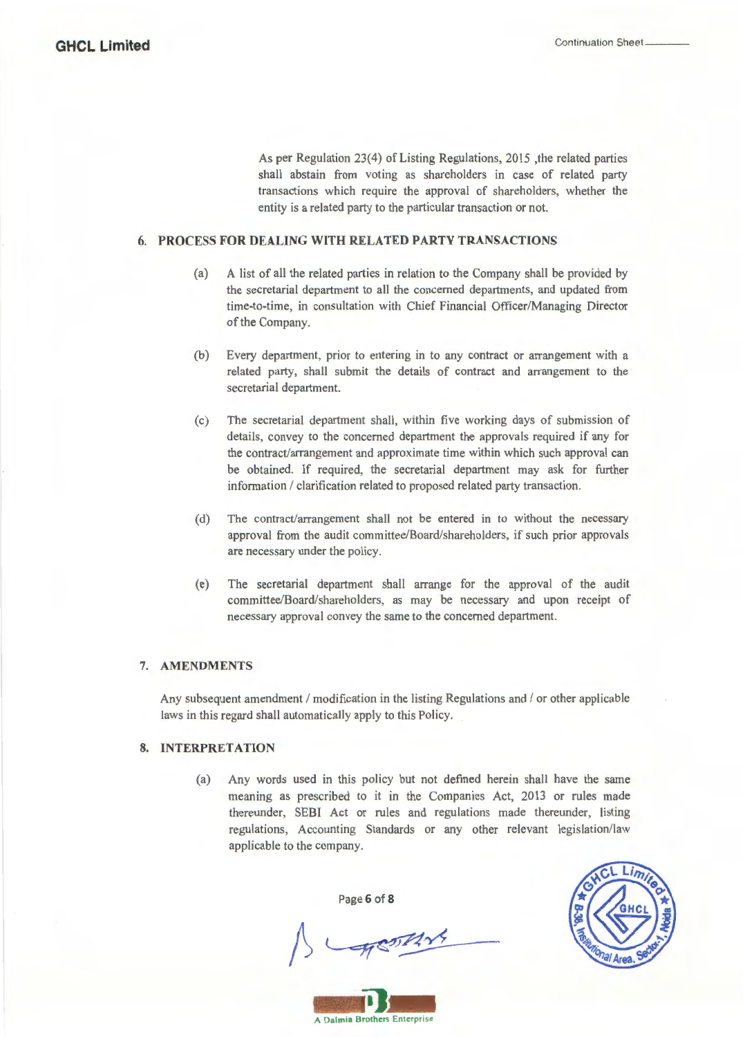As per Regulation 23(4) of Listing Regulations, 2015, the related parties shall abstain from voting as shareholders in case of related party transactions which require the approval of shareholders, whether the entity is a related party to the particular transaction or not.

### **6. PROCESS FOR DEALING WITH RELATED PARTY TRANSACTIONS**

- (a) A list of all the related parties in relation to the Company shall be provided by the secretarial department to all the concerned departments, and updated from time-to-time, in consultation with Chief Financial Officer/Managing Director of the Company.
- (b) Every department, prior to entering in to any contract or arrangement with a related party, shall submit the details of contract and arrangement to the secretarial department.
- (c) The secretarial department shall, within five working days of submission of details, convey to the concerned department the approvals required if any for the contract/arrangement and approximate time within which such approval can be obtained. If required, the secretarial department may ask for further information / clarification related to proposed related party transaction.
- (d) The contract/arrangement shall not be entered in to without the necessary approval from the audit committee/Board/shareholders, if such prior approvals are necessary under the policy.
- ( e) The secretarial department shall arrange for the approval of the audit committee/Board/shareholders, as may be necessary and upon receipt of necessary approval convey the same to the concerned department.

# **7. AMENDMENTS**

Any subsequent amendment  $/$  modification in the listing Regulations and  $/$  or other applicable laws in this regard shall automatically apply to this Policy.

# **8. INTERPRETATION**

(a) Any words used in this policy but not defined herein shall have the same meaning as prescribed to it in the Companies Act, 2013 or rules made thereunder, SEBI Act or rules and regulations made thereunder, listing regulations, Accounting Standards or any other relevant legislation/law applicable to the company.

Page **6 of 8** 



**-** A Dalmia Brothers **11--** Enterprise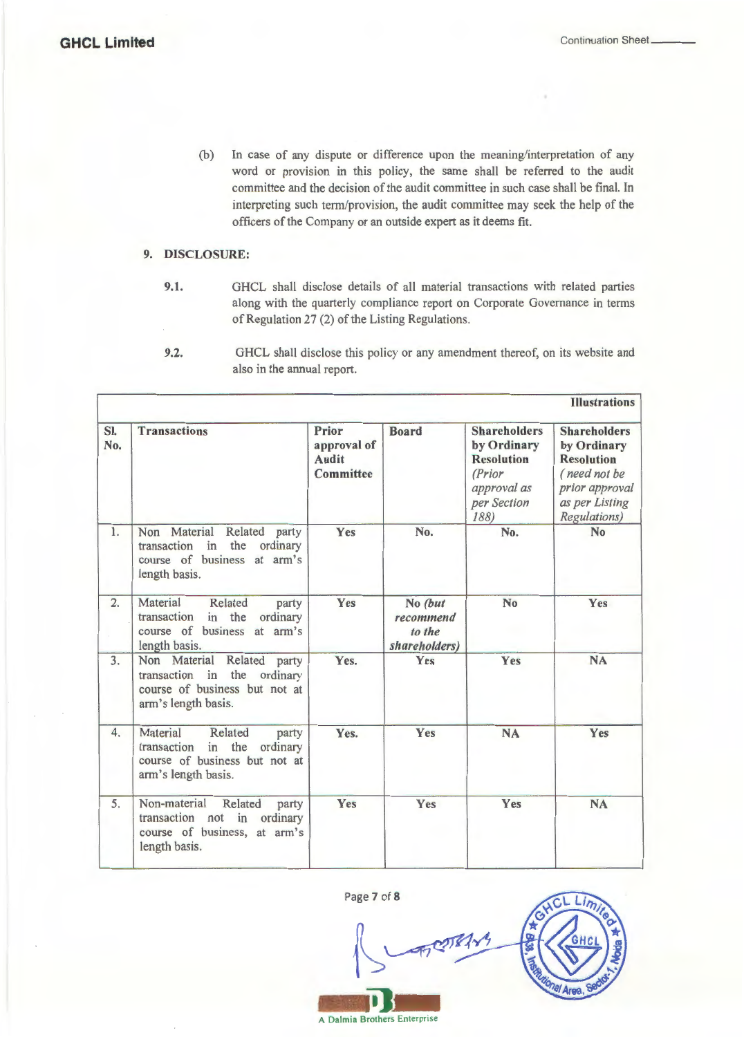(b) In case of any dispute or difference upon the meaning/interpretation of any word or provision in this policy, the same shall be referred to the audit committee and the decision of the audit committee in such case shall be final. In interpreting such term/provision, the audit committee may seek the help of the officers of the Company or an outside expert as it deems fit.

# 9. DISCLOSURE:

9.1. GHCL shall disclose details of all material transactions with related parties along with the quarterly compliance report on Corporate Governance in terms of Regulation 27 (2) of the Listing Regulations.

<sup>9.2.</sup> GHCL shall disclose this policy or any amendment thereof, on its website and also in the annual report.

| SI.<br>No.       | <b>Transactions</b>                                                                                                       | Prior<br>approval of<br><b>Audit</b><br>Committee | <b>Board</b>                                    | <b>Shareholders</b><br>by Ordinary<br><b>Resolution</b><br>(Prior<br>approval as<br>per Section<br>188) | <b>Shareholders</b><br>by Ordinary<br><b>Resolution</b><br>(need not be<br>prior approval<br>as per Listing<br>Regulations) |
|------------------|---------------------------------------------------------------------------------------------------------------------------|---------------------------------------------------|-------------------------------------------------|---------------------------------------------------------------------------------------------------------|-----------------------------------------------------------------------------------------------------------------------------|
| 1.               | Non Material Related<br>party<br>transaction in the<br>ordinary<br>course of business at arm's<br>length basis.           | Yes                                               | No.                                             | No.                                                                                                     | N <sub>o</sub>                                                                                                              |
| $\overline{2}$ . | Material<br>Related<br>party<br>in the<br>transaction<br>ordinary<br>course of business at arm's<br>length basis.         | Yes                                               | No (but<br>recommend<br>to the<br>shareholders) | N <sub>o</sub>                                                                                          | Yes                                                                                                                         |
| 3.               | Non Material<br>Related<br>party<br>transaction in the ordinary<br>course of business but not at<br>arm's length basis.   | Yes.                                              | Yes                                             | Yes                                                                                                     | <b>NA</b>                                                                                                                   |
| 4.               | Material<br>Related<br>party<br>in the<br>transaction<br>ordinary<br>course of business but not at<br>arm's length basis. | Yes.                                              | Yes                                             | <b>NA</b>                                                                                               | Yes                                                                                                                         |
| 5.               | Non-material<br>Related<br>party<br>transaction not in<br>ordinary<br>course of business, at arm's<br>length basis.       | Yes                                               | Yes                                             | Yes                                                                                                     | <b>NA</b>                                                                                                                   |

Page 7 of 8

~ 00000000 \$ **-**<br> **A Dalmia Brothers Enterprise** 



Enterprise